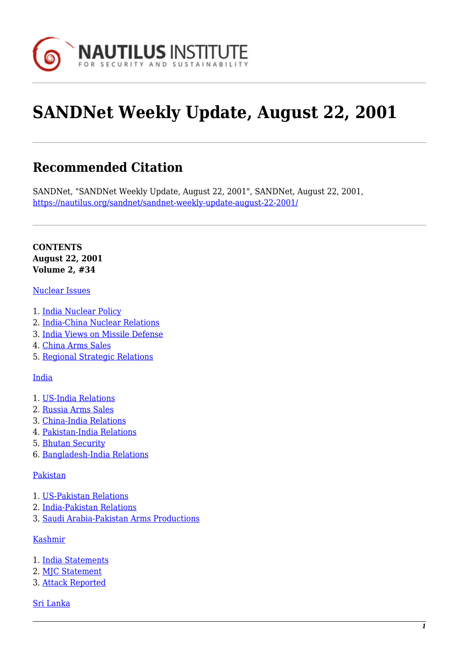

# **SANDNet Weekly Update, August 22, 2001**

# **Recommended Citation**

SANDNet, "SANDNet Weekly Update, August 22, 2001", SANDNet, August 22, 2001, <https://nautilus.org/sandnet/sandnet-weekly-update-august-22-2001/>

**CONTENTS August 22, 2001 Volume 2, #34**

#### [Nuclear Issues](https://nautilus.org/?p=44841&preview=true#nuc)

- 1. [India Nuclear Policy](https://nautilus.org/?p=44841&preview=true#indianuc)
- 2. [India-China Nuclear Relations](https://nautilus.org/?p=44841&preview=true#indiachina)
- 3. [India Views on Missile Defense](https://nautilus.org/?p=44841&preview=true#indiamissile)
- 4. [China Arms Sales](https://nautilus.org/?p=44841&preview=true#china)
- 5. [Regional Strategic Relations](https://nautilus.org/?p=44841&preview=true#regional)

#### [India](https://nautilus.org/?p=44841&preview=true#india)

- 1. [US-India Relations](https://nautilus.org/?p=44841&preview=true#usind)
- 2. [Russia Arms Sales](https://nautilus.org/?p=44841&preview=true#russarms)
- 3. [China-India Relations](https://nautilus.org/?p=44841&preview=true#chinaind)
- 4. [Pakistan-India Relations](https://nautilus.org/?p=44841&preview=true#pakind)
- 5. [Bhutan Security](https://nautilus.org/?p=44841&preview=true#bhutan)
- 6. [Bangladesh-India Relations](https://nautilus.org/?p=44841&preview=true#bang)

#### [Pakistan](https://nautilus.org/?p=44841&preview=true#pak)

- 1. [US-Pakistan Relations](https://nautilus.org/?p=44841&preview=true#uspak)
- 2. [India-Pakistan Relations](https://nautilus.org/?p=44841&preview=true#indiapak)
- 3. [Saudi Arabia-Pakistan Arms Productions](https://nautilus.org/?p=44841&preview=true#saudi)

#### [Kashmir](https://nautilus.org/?p=44841&preview=true#kash)

- 1. [India Statements](https://nautilus.org/?p=44841&preview=true#inds)
- 2. [MJC Statement](https://nautilus.org/?p=44841&preview=true#mjc)
- 3. [Attack Reported](https://nautilus.org/?p=44841&preview=true#attack)
- [Sri Lanka](https://nautilus.org/?p=44841&preview=true#sri)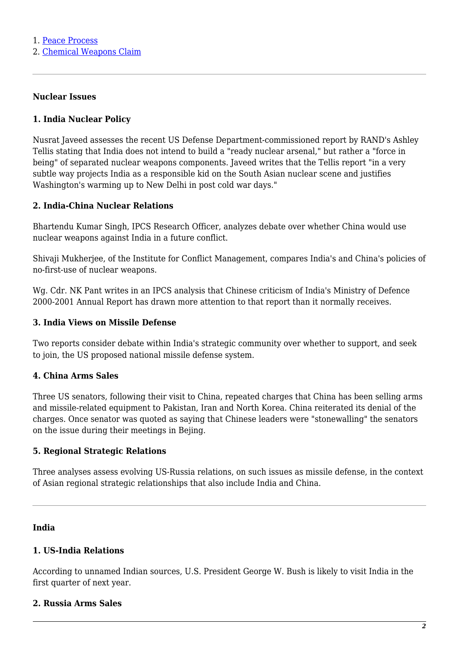2. [Chemical Weapons Claim](https://nautilus.org/?p=44841&preview=true#chemical)

# **Nuclear Issues**

#### **1. India Nuclear Policy**

Nusrat Javeed assesses the recent US Defense Department-commissioned report by RAND's Ashley Tellis stating that India does not intend to build a "ready nuclear arsenal," but rather a "force in being" of separated nuclear weapons components. Javeed writes that the Tellis report "in a very subtle way projects India as a responsible kid on the South Asian nuclear scene and justifies Washington's warming up to New Delhi in post cold war days."

#### **2. India-China Nuclear Relations**

Bhartendu Kumar Singh, IPCS Research Officer, analyzes debate over whether China would use nuclear weapons against India in a future conflict.

Shivaji Mukherjee, of the Institute for Conflict Management, compares India's and China's policies of no-first-use of nuclear weapons.

Wg. Cdr. NK Pant writes in an IPCS analysis that Chinese criticism of India's Ministry of Defence 2000-2001 Annual Report has drawn more attention to that report than it normally receives.

#### **3. India Views on Missile Defense**

Two reports consider debate within India's strategic community over whether to support, and seek to join, the US proposed national missile defense system.

#### **4. China Arms Sales**

Three US senators, following their visit to China, repeated charges that China has been selling arms and missile-related equipment to Pakistan, Iran and North Korea. China reiterated its denial of the charges. Once senator was quoted as saying that Chinese leaders were "stonewalling" the senators on the issue during their meetings in Bejing.

#### **5. Regional Strategic Relations**

Three analyses assess evolving US-Russia relations, on such issues as missile defense, in the context of Asian regional strategic relationships that also include India and China.

#### **India**

#### **1. US-India Relations**

According to unnamed Indian sources, U.S. President George W. Bush is likely to visit India in the first quarter of next year.

#### **2. Russia Arms Sales**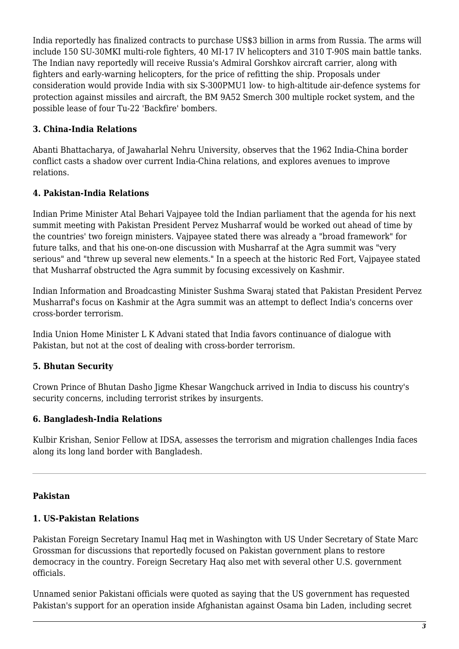India reportedly has finalized contracts to purchase US\$3 billion in arms from Russia. The arms will include 150 SU-30MKI multi-role fighters, 40 MI-17 IV helicopters and 310 T-90S main battle tanks. The Indian navy reportedly will receive Russia's Admiral Gorshkov aircraft carrier, along with fighters and early-warning helicopters, for the price of refitting the ship. Proposals under consideration would provide India with six S-300PMU1 low- to high-altitude air-defence systems for protection against missiles and aircraft, the BM 9A52 Smerch 300 multiple rocket system, and the possible lease of four Tu-22 'Backfire' bombers.

## **3. China-India Relations**

Abanti Bhattacharya, of Jawaharlal Nehru University, observes that the 1962 India-China border conflict casts a shadow over current India-China relations, and explores avenues to improve relations.

## **4. Pakistan-India Relations**

Indian Prime Minister Atal Behari Vajpayee told the Indian parliament that the agenda for his next summit meeting with Pakistan President Pervez Musharraf would be worked out ahead of time by the countries' two foreign ministers. Vajpayee stated there was already a "broad framework" for future talks, and that his one-on-one discussion with Musharraf at the Agra summit was "very serious" and "threw up several new elements." In a speech at the historic Red Fort, Vajpayee stated that Musharraf obstructed the Agra summit by focusing excessively on Kashmir.

Indian Information and Broadcasting Minister Sushma Swaraj stated that Pakistan President Pervez Musharraf's focus on Kashmir at the Agra summit was an attempt to deflect India's concerns over cross-border terrorism.

India Union Home Minister L K Advani stated that India favors continuance of dialogue with Pakistan, but not at the cost of dealing with cross-border terrorism.

# **5. Bhutan Security**

Crown Prince of Bhutan Dasho Jigme Khesar Wangchuck arrived in India to discuss his country's security concerns, including terrorist strikes by insurgents.

#### **6. Bangladesh-India Relations**

Kulbir Krishan, Senior Fellow at IDSA, assesses the terrorism and migration challenges India faces along its long land border with Bangladesh.

#### **Pakistan**

#### **1. US-Pakistan Relations**

Pakistan Foreign Secretary Inamul Haq met in Washington with US Under Secretary of State Marc Grossman for discussions that reportedly focused on Pakistan government plans to restore democracy in the country. Foreign Secretary Haq also met with several other U.S. government officials.

Unnamed senior Pakistani officials were quoted as saying that the US government has requested Pakistan's support for an operation inside Afghanistan against Osama bin Laden, including secret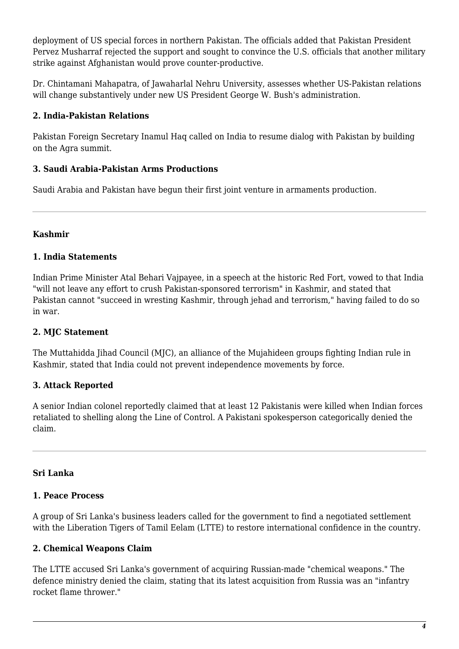deployment of US special forces in northern Pakistan. The officials added that Pakistan President Pervez Musharraf rejected the support and sought to convince the U.S. officials that another military strike against Afghanistan would prove counter-productive.

Dr. Chintamani Mahapatra, of Jawaharlal Nehru University, assesses whether US-Pakistan relations will change substantively under new US President George W. Bush's administration.

# **2. India-Pakistan Relations**

Pakistan Foreign Secretary Inamul Haq called on India to resume dialog with Pakistan by building on the Agra summit.

#### **3. Saudi Arabia-Pakistan Arms Productions**

Saudi Arabia and Pakistan have begun their first joint venture in armaments production.

## **Kashmir**

## **1. India Statements**

Indian Prime Minister Atal Behari Vajpayee, in a speech at the historic Red Fort, vowed to that India "will not leave any effort to crush Pakistan-sponsored terrorism" in Kashmir, and stated that Pakistan cannot "succeed in wresting Kashmir, through jehad and terrorism," having failed to do so in war.

# **2. MJC Statement**

The Muttahidda Jihad Council (MJC), an alliance of the Mujahideen groups fighting Indian rule in Kashmir, stated that India could not prevent independence movements by force.

# **3. Attack Reported**

A senior Indian colonel reportedly claimed that at least 12 Pakistanis were killed when Indian forces retaliated to shelling along the Line of Control. A Pakistani spokesperson categorically denied the claim.

# **Sri Lanka**

#### **1. Peace Process**

A group of Sri Lanka's business leaders called for the government to find a negotiated settlement with the Liberation Tigers of Tamil Eelam (LTTE) to restore international confidence in the country.

# **2. Chemical Weapons Claim**

The LTTE accused Sri Lanka's government of acquiring Russian-made "chemical weapons." The defence ministry denied the claim, stating that its latest acquisition from Russia was an "infantry rocket flame thrower."